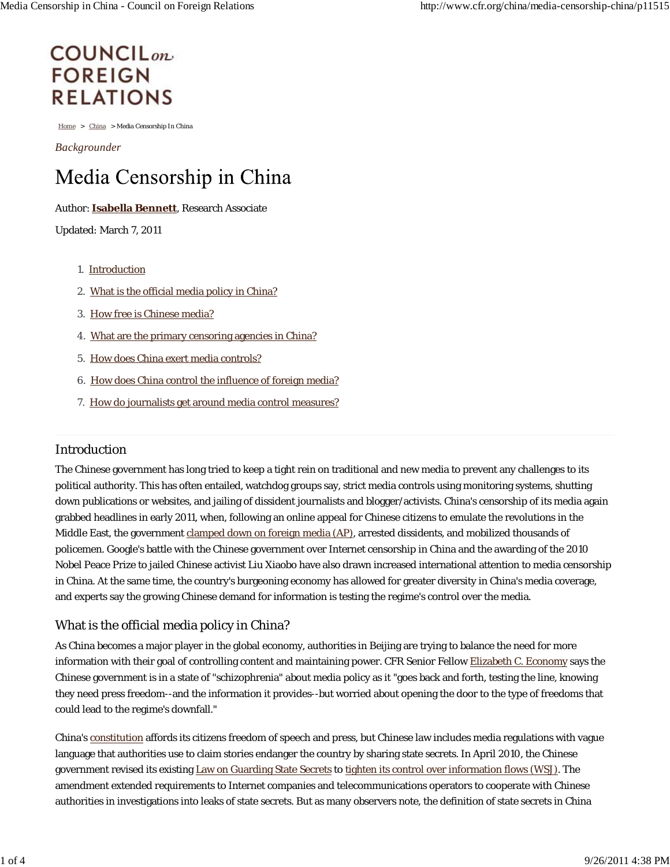# **COUNCIL**<sub>on</sub> **FOREIGN RELATIONS**

Home > China > Media Censorship In China

*Backgrounder*

# Media Censorship in China

#### Author: **Isabella Bennett**, Research Associate

Updated: March 7, 2011

- 1. Introduction
- 2. What is the official media policy in China?
- 3. How free is Chinese media?
- 4. What are the primary censoring agencies in China?
- 5. How does China exert media controls?
- 6. How does China control the influence of foreign media?
- 7. How do journalists get around media control measures?

#### Introduction

The Chinese government has long tried to keep a tight rein on traditional and new media to prevent any challenges to its political authority. This has often entailed, watchdog groups say, strict media controls using monitoring systems, shutting down publications or websites, and jailing of dissident journalists and blogger/activists. China's censorship of its media again grabbed headlines in early 2011, when, following an online appeal for Chinese citizens to emulate the revolutions in the Middle East, the government clamped down on foreign media (AP), arrested dissidents, and mobilized thousands of policemen. Google's battle with the Chinese government over Internet censorship in China and the awarding of the 2010 Nobel Peace Prize to jailed Chinese activist Liu Xiaobo have also drawn increased international attention to media censorship in China. At the same time, the country's burgeoning economy has allowed for greater diversity in China's media coverage, and experts say the growing Chinese demand for information is testing the regime's control over the media.

#### What is the official media policy in China?

As China becomes a major player in the global economy, authorities in Beijing are trying to balance the need for more information with their goal of controlling content and maintaining power. CFR Senior Fellow Elizabeth C. Economy says the Chinese government is in a state of "schizophrenia" about media policy as it "goes back and forth, testing the line, knowing they need press freedom--and the information it provides--but worried about opening the door to the type of freedoms that could lead to the regime's downfall."

China's constitution affords its citizens freedom of speech and press, but Chinese law includes media regulations with vague language that authorities use to claim stories endanger the country by sharing state secrets. In April 2010, the Chinese government revised its existing Law on Guarding State Secrets to tighten its control over information flows (*WSJ*). The amendment extended requirements to Internet companies and telecommunications operators to cooperate with Chinese authorities in investigations into leaks of state secrets. But as many observers note, the definition of state secrets in China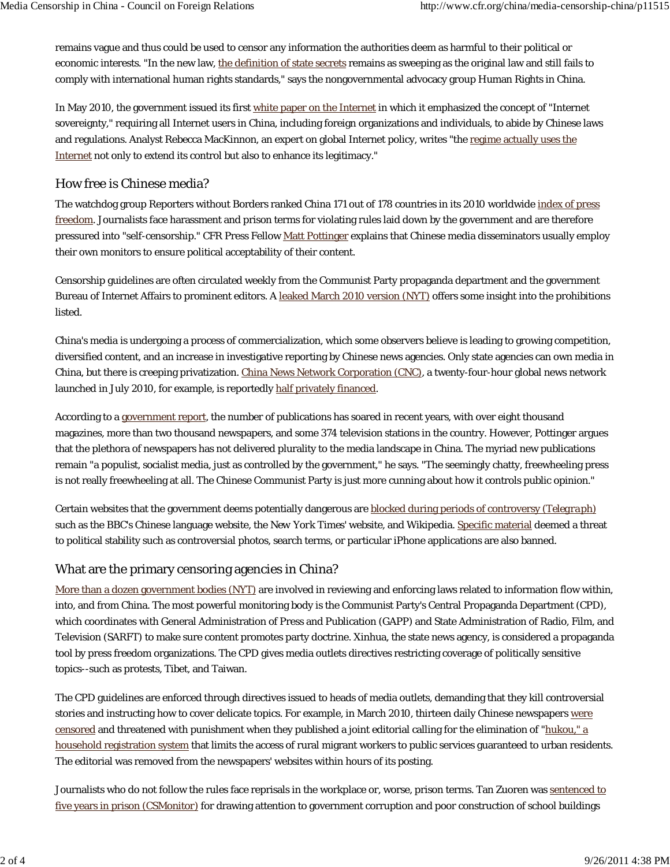remains vague and thus could be used to censor any information the authorities deem as harmful to their political or economic interests. "In the new law, the definition of state secrets remains as sweeping as the original law and still fails to comply with international human rights standards," says the nongovernmental advocacy group Human Rights in China.

In May 2010, the government issued its first white paper on the Internet in which it emphasized the concept of "Internet sovereignty," requiring all Internet users in China, including foreign organizations and individuals, to abide by Chinese laws and regulations. Analyst Rebecca MacKinnon, an expert on global Internet policy, writes "the regime actually uses the Internet not only to extend its control but also to enhance its legitimacy."

### How free is Chinese media?

The watchdog group Reporters without Borders ranked China 171 out of 178 countries in its 2010 worldwide index of press freedom. Journalists face harassment and prison terms for violating rules laid down by the government and are therefore pressured into "self-censorship." CFR Press Fellow Matt Pottinger explains that Chinese media disseminators usually employ their own monitors to ensure political acceptability of their content.

Censorship guidelines are often circulated weekly from the Communist Party propaganda department and the government Bureau of Internet Affairs to prominent editors. A leaked March 2010 version (*NYT*) offers some insight into the prohibitions listed.

China's media is undergoing a process of commercialization, which some observers believe is leading to growing competition, diversified content, and an increase in investigative reporting by Chinese news agencies. Only state agencies can own media in China, but there is creeping privatization. China News Network Corporation (CNC), a twenty-four-hour global news network launched in July 2010, for example, is reportedly half privately financed.

According to a government report, the number of publications has soared in recent years, with over eight thousand magazines, more than two thousand newspapers, and some 374 television stations in the country. However, Pottinger argues that the plethora of newspapers has not delivered plurality to the media landscape in China. The myriad new publications remain "a populist, socialist media, just as controlled by the government," he says. "The seemingly chatty, freewheeling press is not really freewheeling at all. The Chinese Communist Party is just more cunning about how it controls public opinion."

Certain websites that the government deems potentially dangerous are blocked during periods of controversy *(Telegraph)* such as the BBC's Chinese language website, the *New York Times*' website, and Wikipedia. Specific material deemed a threat to political stability such as controversial photos, search terms, or particular iPhone applications are also banned.

#### What are the primary censoring agencies in China?

More than a dozen government bodies (*NYT*) are involved in reviewing and enforcing laws related to information flow within, into, and from China. The most powerful monitoring body is the Communist Party's Central Propaganda Department (CPD), which coordinates with General Administration of Press and Publication (GAPP) and State Administration of Radio, Film, and Television (SARFT) to make sure content promotes party doctrine. Xinhua, the state news agency, is considered a propaganda tool by press freedom organizations. The CPD gives media outlets directives restricting coverage of politically sensitive topics--such as protests, Tibet, and Taiwan.

The CPD guidelines are enforced through directives issued to heads of media outlets, demanding that they kill controversial stories and instructing how to cover delicate topics. For example, in March 2010, thirteen daily Chinese newspapers were censored and threatened with punishment when they published a joint editorial calling for the elimination of "hukou," a household registration system that limits the access of rural migrant workers to public services guaranteed to urban residents. The editorial was removed from the newspapers' websites within hours of its posting.

Journalists who do not follow the rules face reprisals in the workplace or, worse, prison terms. Tan Zuoren was sentenced to five years in prison (*CSMonitor*) for drawing attention to government corruption and poor construction of school buildings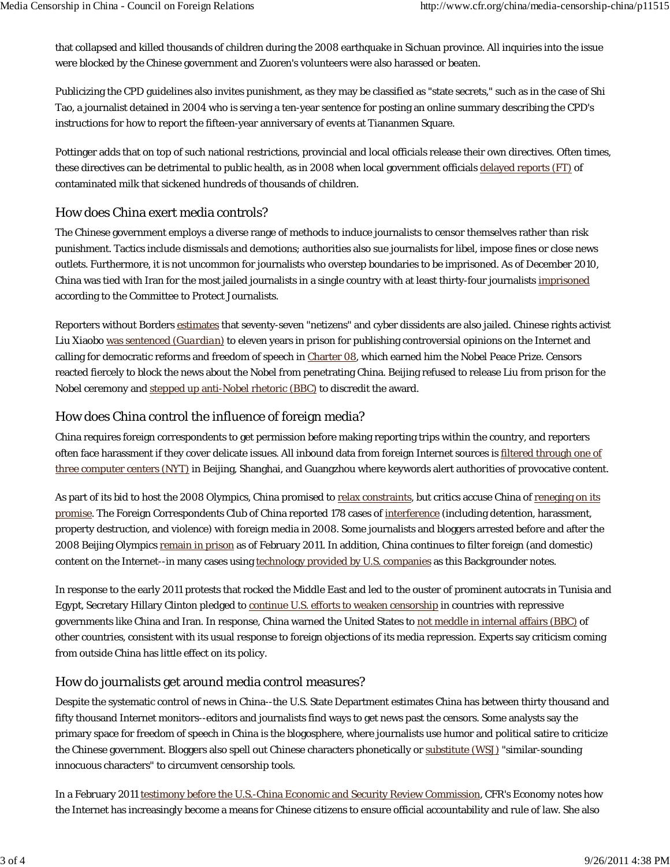that collapsed and killed thousands of children during the 2008 earthquake in Sichuan province. All inquiries into the issue were blocked by the Chinese government and Zuoren's volunteers were also harassed or beaten.

Publicizing the CPD guidelines also invites punishment, as they may be classified as "state secrets," such as in the case of Shi Tao, a journalist detained in 2004 who is serving a ten-year sentence for posting an online summary describing the CPD's instructions for how to report the fifteen-year anniversary of events at Tiananmen Square.

Pottinger adds that on top of such national restrictions, provincial and local officials release their own directives. Often times, these directives can be detrimental to public health, as in 2008 when local government officials delayed reports (*FT*) of contaminated milk that sickened hundreds of thousands of children.

### How does China exert media controls?

The Chinese government employs a diverse range of methods to induce journalists to censor themselves rather than risk punishment. Tactics include dismissals and demotions; authorities also sue journalists for libel, impose fines or close news outlets. Furthermore, it is not uncommon for journalists who overstep boundaries to be imprisoned. As of December 2010, China was tied with Iran for the most jailed journalists in a single country with at least thirty-four journalists imprisoned according to the Committee to Protect Journalists.

Reporters without Borders estimates that seventy-seven "netizens" and cyber dissidents are also jailed. Chinese rights activist Liu Xiaobo was sentenced (*Guardian)* to eleven years in prison for publishing controversial opinions on the Internet and calling for democratic reforms and freedom of speech in Charter 08, which earned him the Nobel Peace Prize. Censors reacted fiercely to block the news about the Nobel from penetrating China. Beijing refused to release Liu from prison for the Nobel ceremony and stepped up anti-Nobel rhetoric (BBC) to discredit the award.

#### How does China control the influence of foreign media?

China requires foreign correspondents to get permission before making reporting trips within the country, and reporters often face harassment if they cover delicate issues. All inbound data from foreign Internet sources is filtered through one of three computer centers (*NYT*) in Beijing, Shanghai, and Guangzhou where keywords alert authorities of provocative content.

As part of its bid to host the 2008 Olympics, China promised to relax constraints, but critics accuse China of reneging on its promise. The Foreign Correspondents Club of China reported 178 cases of interference (including detention, harassment, property destruction, and violence) with foreign media in 2008. Some journalists and bloggers arrested before and after the 2008 Beijing Olympics remain in prison as of February 2011. In addition, China continues to filter foreign (and domestic) content on the Internet--in many cases using technology provided by U.S. companies as this Backgrounder notes.

In response to the early 2011 protests that rocked the Middle East and led to the ouster of prominent autocrats in Tunisia and Egypt, Secretary Hillary Clinton pledged to continue U.S. efforts to weaken censorship in countries with repressive governments like China and Iran. In response, China warned the United States to not meddle in internal affairs (BBC) of other countries, consistent with its usual response to foreign objections of its media repression. Experts say criticism coming from outside China has little effect on its policy.

## How do journalists get around media control measures?

Despite the systematic control of news in China--the U.S. State Department estimates China has between thirty thousand and fifty thousand Internet monitors--editors and journalists find ways to get news past the censors. Some analysts say the primary space for freedom of speech in China is the blogosphere, where journalists use humor and political satire to criticize the Chinese government. Bloggers also spell out Chinese characters phonetically or substitute (*WSJ*) "similar-sounding innocuous characters" to circumvent censorship tools.

In a February 2011 testimony before the U.S.-China Economic and Security Review Commission, CFR's Economy notes how the Internet has increasingly become a means for Chinese citizens to ensure official accountability and rule of law. She also